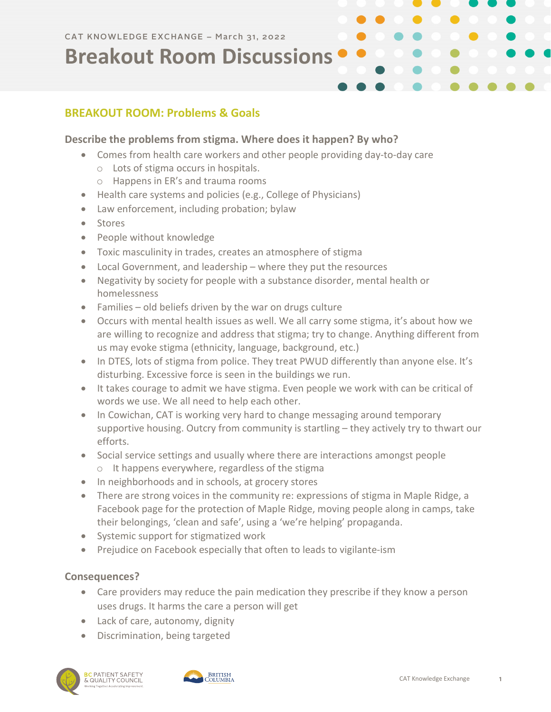## **BREAKOUT ROOM: Problems & Goals**

### **Describe the problems from stigma. Where does it happen? By who?**

- Comes from health care workers and other people providing day-to-day care
	- o Lots of stigma occurs in hospitals.
	- o Happens in ER's and trauma rooms
- Health care systems and policies (e.g., College of Physicians)
- Law enforcement, including probation; bylaw
- Stores
- People without knowledge
- Toxic masculinity in trades, creates an atmosphere of stigma
- Local Government, and leadership where they put the resources
- Negativity by society for people with a substance disorder, mental health or homelessness
- Families old beliefs driven by the war on drugs culture
- Occurs with mental health issues as well. We all carry some stigma, it's about how we are willing to recognize and address that stigma; try to change. Anything different from us may evoke stigma (ethnicity, language, background, etc.)
- In DTES, lots of stigma from police. They treat PWUD differently than anyone else. It's disturbing. Excessive force is seen in the buildings we run.
- It takes courage to admit we have stigma. Even people we work with can be critical of words we use. We all need to help each other.
- In Cowichan, CAT is working very hard to change messaging around temporary supportive housing. Outcry from community is startling – they actively try to thwart our efforts.
- Social service settings and usually where there are interactions amongst people o It happens everywhere, regardless of the stigma
- In neighborhoods and in schools, at grocery stores
- There are strong voices in the community re: expressions of stigma in Maple Ridge, a Facebook page for the protection of Maple Ridge, moving people along in camps, take their belongings, 'clean and safe', using a 'we're helping' propaganda.
- Systemic support for stigmatized work
- Prejudice on Facebook especially that often to leads to vigilante-ism

#### **Consequences?**

- Care providers may reduce the pain medication they prescribe if they know a person uses drugs. It harms the care a person will get
- Lack of care, autonomy, dignity
- Discrimination, being targeted



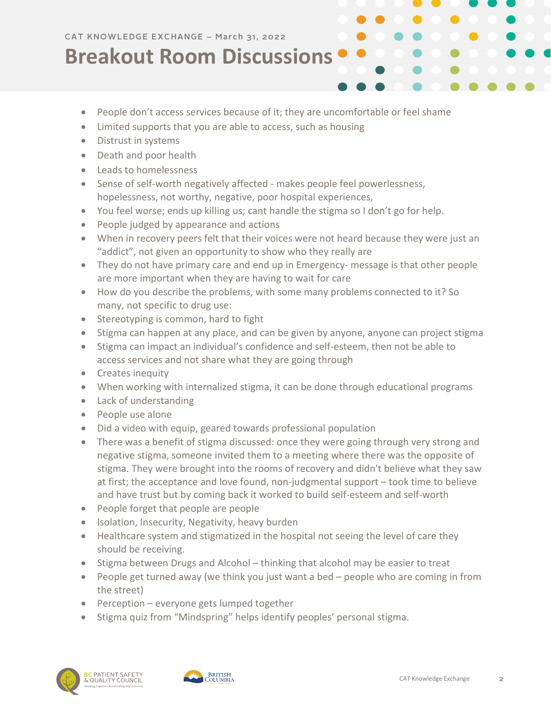- People don't access services because of it; they are uncomfortable or feel shame
- Limited supports that you are able to access, such as housing
- Distrust in systems
- Death and poor health
- Leads to homelessness
- Sense of self-worth negatively affected makes people feel powerlessness, hopelessness, not worthy, negative, poor hospital experiences,
- You feel worse; ends up killing us; cant handle the stigma so I don't go for help.
- People judged by appearance and actions
- When in recovery peers felt that their voices were not heard because they were just an "addict", not given an opportunity to show who they really are
- They do not have primary care and end up in Emergency- message is that other people are more important when they are having to wait for care
- How do you describe the problems, with some many problems connected to it? So many, not specific to drug use:
- Stereotyping is common, hard to fight
- Stigma can happen at any place, and can be given by anyone, anyone can project stigma
- Stigma can impact an individual's confidence and self-esteem, then not be able to access services and not share what they are going through
- Creates inequity
- When working with internalized stigma, it can be done through educational programs
- Lack of understanding
- People use alone
- Did a video with equip, geared towards professional population
- There was a benefit of stigma discussed: once they were going through very strong and negative stigma, someone invited them to a meeting where there was the opposite of stigma. They were brought into the rooms of recovery and didn't believe what they saw at first; the acceptance and love found, non-judgmental support – took time to believe and have trust but by coming back it worked to build self-esteem and self-worth
- People forget that people are people
- Isolation, Insecurity, Negativity, heavy burden
- Healthcare system and stigmatized in the hospital not seeing the level of care they should be receiving.
- Stigma between Drugs and Alcohol thinking that alcohol may be easier to treat
- People get turned away (we think you just want a bed people who are coming in from the street)
- Perception everyone gets lumped together
- Stigma quiz from "Mindspring" helps identify peoples' personal stigma.



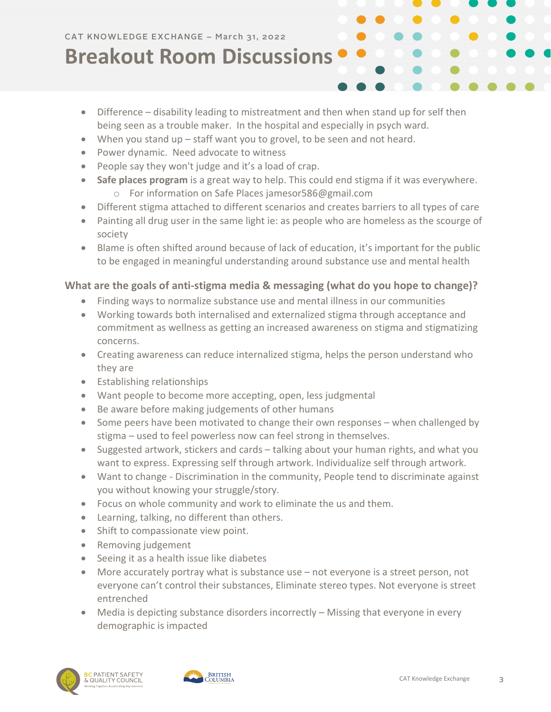- Difference disability leading to mistreatment and then when stand up for self then being seen as a trouble maker. In the hospital and especially in psych ward.
- When you stand up staff want you to grovel, to be seen and not heard.
- Power dynamic. Need advocate to witness
- People say they won't judge and it's a load of crap.
- **Safe places program** is a great way to help. This could end stigma if it was everywhere. o For information on Safe Places jamesor586@gmail.com
- Different stigma attached to different scenarios and creates barriers to all types of care
- Painting all drug user in the same light ie: as people who are homeless as the scourge of society
- Blame is often shifted around because of lack of education, it's important for the public to be engaged in meaningful understanding around substance use and mental health

### **What are the goals of anti-stigma media & messaging (what do you hope to change)?**

- Finding ways to normalize substance use and mental illness in our communities
- Working towards both internalised and externalized stigma through acceptance and commitment as wellness as getting an increased awareness on stigma and stigmatizing concerns.
- Creating awareness can reduce internalized stigma, helps the person understand who they are
- Establishing relationships
- Want people to become more accepting, open, less judgmental
- Be aware before making judgements of other humans
- Some peers have been motivated to change their own responses when challenged by stigma – used to feel powerless now can feel strong in themselves.
- Suggested artwork, stickers and cards talking about your human rights, and what you want to express. Expressing self through artwork. Individualize self through artwork.
- Want to change Discrimination in the community, People tend to discriminate against you without knowing your struggle/story.
- Focus on whole community and work to eliminate the us and them.
- Learning, talking, no different than others.
- Shift to compassionate view point.
- Removing judgement
- Seeing it as a health issue like diabetes
- More accurately portray what is substance use not everyone is a street person, not everyone can't control their substances, Eliminate stereo types. Not everyone is street entrenched
- Media is depicting substance disorders incorrectly Missing that everyone in every demographic is impacted